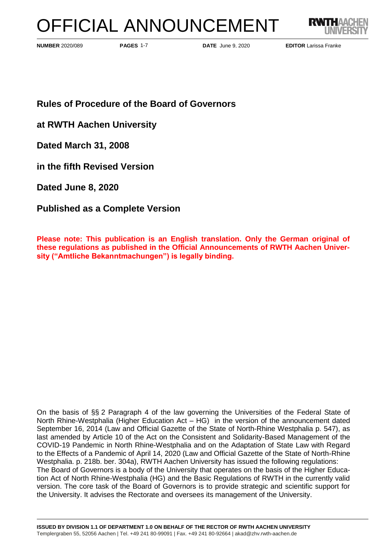# OFFICIAL ANNOUNCEMENT



**PAGES 1-7** 

**PAGES DATE** June 9, 2020

**NUMBER** 2020/089 **EDITOR** Larissa Franke

**Rules of Procedure of the Board of Governors**

**at RWTH Aachen University**

**Dated March 31, 2008**

**in the fifth Revised Version** 

**Dated June 8, 2020**

**Published as a Complete Version**

**Please note: This publication is an English translation. Only the German original of these regulations as published in the Official Announcements of RWTH Aachen University ("Amtliche Bekanntmachungen") is legally binding.**

On the basis of §§ 2 Paragraph 4 of the law governing the Universities of the Federal State of North Rhine-Westphalia (Higher Education Act – HG) in the version of the announcement dated September 16, 2014 (Law and Official Gazette of the State of North-Rhine Westphalia p. 547), as last amended by Article 10 of the Act on the Consistent and Solidarity-Based Management of the COVID-19 Pandemic in North Rhine-Westphalia and on the Adaptation of State Law with Regard to the Effects of a Pandemic of April 14, 2020 (Law and Official Gazette of the State of North-Rhine Westphalia. p. 218b. ber. 304a), RWTH Aachen University has issued the following regulations: The Board of Governors is a body of the University that operates on the basis of the Higher Education Act of North Rhine-Westphalia (HG) and the Basic Regulations of RWTH in the currently valid version. The core task of the Board of Governors is to provide strategic and scientific support for the University. It advises the Rectorate and oversees its management of the University.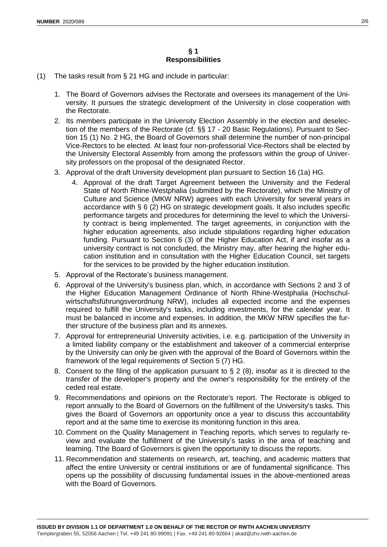- (1) The tasks result from § 21 HG and include in particular:
	- 1. The Board of Governors advises the Rectorate and oversees its management of the University. It pursues the strategic development of the University in close cooperation with the Rectorate.
	- 2. Its members participate in the University Election Assembly in the election and deselection of the members of the Rectorate (cf. §§ 17 - 20 Basic Regulations). Pursuant to Section 15 (1) No. 2 HG, the Board of Governors shall determine the number of non-principal Vice-Rectors to be elected. At least four non-professorial Vice-Rectors shall be elected by the University Electoral Assembly from among the professors within the group of University professors on the proposal of the designated Rector.
	- 3. Approval of the draft University development plan pursuant to Section 16 (1a) HG.
		- 4. Approval of the draft Target Agreement between the University and the Federal State of North Rhine-Westphalia (submitted by the Rectorate), which the Ministry of Culture and Science (MKW NRW) agrees with each University for several years in accordance with § 6 (2) HG on strategic development goals. It also includes specific performance targets and procedures for determining the level to which the University contract is being implemented. The target agreements, in conjunction with the higher education agreements, also include stipulations regarding higher education funding. Pursuant to Section 6 (3) of the Higher Education Act, if and insofar as a university contract is not concluded, the Ministry may, after hearing the higher education institution and in consultation with the Higher Education Council, set targets for the services to be provided by the higher education institution.
	- 5. Approval of the Rectorate's business management.
	- 6. Approval of the University's business plan, which, in accordance with Sections 2 and 3 of the Higher Education Management Ordinance of North Rhine-Westphalia (Hochschulwirtschaftsführungsverordnung NRW), includes all expected income and the expenses required to fulfill the University's tasks, including investments, for the calendar year. It must be balanced in income and expenses. In addition, the MKW NRW specifies the further structure of the business plan and its annexes.
	- 7. Approval for entrepreneurial University activities, i.e. e.g. participation of the University in a limited liability company or the establishment and takeover of a commercial enterprise by the University can only be given with the approval of the Board of Governors within the framework of the legal requirements of Section 5 (7) HG.
	- 8. Consent to the filing of the application pursuant to  $\S 2$  (8), insofar as it is directed to the transfer of the developer's property and the owner's responsibility for the entirety of the ceded real estate.
	- 9. Recommendations and opinions on the Rectorate's report. The Rectorate is obliged to report annually to the Board of Governors on the fulfillment of the University's tasks. This gives the Board of Governors an opportunity once a year to discuss this accountability report and at the same time to exercise its monitoring function in this area.
	- 10. Comment on the Quality Management in Teaching reports, which serves to regularly review and evaluate the fulfillment of the University's tasks in the area of teaching and learning. Tthe Board of Governors is given the opportunity to discuss the reports.
	- 11. Recommendation and statements on research, art, teaching, and academic matters that affect the entire University or central institutions or are of fundamental significance. This opens up the possibility of discussing fundamental issues in the above-mentioned areas with the Board of Governors.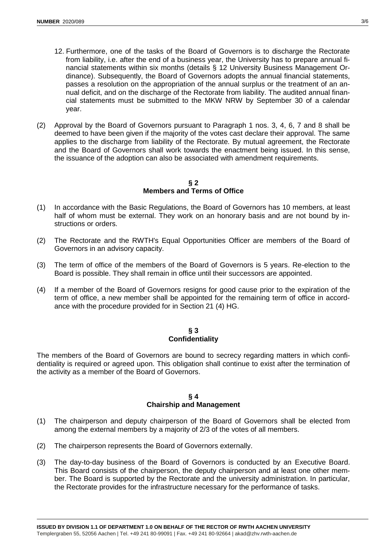- 12. Furthermore, one of the tasks of the Board of Governors is to discharge the Rectorate from liability, i.e. after the end of a business year, the University has to prepare annual financial statements within six months (details § 12 University Business Management Ordinance). Subsequently, the Board of Governors adopts the annual financial statements, passes a resolution on the appropriation of the annual surplus or the treatment of an annual deficit, and on the discharge of the Rectorate from liability. The audited annual financial statements must be submitted to the MKW NRW by September 30 of a calendar year.
- (2) Approval by the Board of Governors pursuant to Paragraph 1 nos. 3, 4, 6, 7 and 8 shall be deemed to have been given if the majority of the votes cast declare their approval. The same applies to the discharge from liability of the Rectorate. By mutual agreement, the Rectorate and the Board of Governors shall work towards the enactment being issued. In this sense, the issuance of the adoption can also be associated with amendment requirements.

**§ 2 Members and Terms of Office**

- (1) In accordance with the Basic Regulations, the Board of Governors has 10 members, at least half of whom must be external. They work on an honorary basis and are not bound by instructions or orders.
- (2) The Rectorate and the RWTH's Equal Opportunities Officer are members of the Board of Governors in an advisory capacity.
- (3) The term of office of the members of the Board of Governors is 5 years. Re-election to the Board is possible. They shall remain in office until their successors are appointed.
- (4) If a member of the Board of Governors resigns for good cause prior to the expiration of the term of office, a new member shall be appointed for the remaining term of office in accordance with the procedure provided for in Section 21 (4) HG.

#### **§ 3 Confidentiality**

The members of the Board of Governors are bound to secrecy regarding matters in which confidentiality is required or agreed upon. This obligation shall continue to exist after the termination of the activity as a member of the Board of Governors.

#### **§ 4 Chairship and Management**

- (1) The chairperson and deputy chairperson of the Board of Governors shall be elected from among the external members by a majority of 2/3 of the votes of all members.
- (2) The chairperson represents the Board of Governors externally.
- (3) The day-to-day business of the Board of Governors is conducted by an Executive Board. This Board consists of the chairperson, the deputy chairperson and at least one other member. The Board is supported by the Rectorate and the university administration. In particular, the Rectorate provides for the infrastructure necessary for the performance of tasks.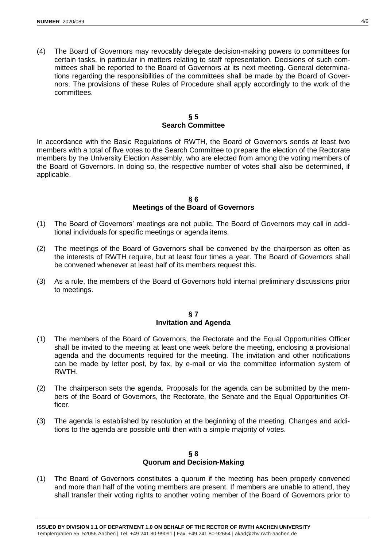(4) The Board of Governors may revocably delegate decision-making powers to committees for certain tasks, in particular in matters relating to staff representation. Decisions of such committees shall be reported to the Board of Governors at its next meeting. General determinations regarding the responsibilities of the committees shall be made by the Board of Governors. The provisions of these Rules of Procedure shall apply accordingly to the work of the committees.

#### **§ 5 Search Committee**

In accordance with the Basic Regulations of RWTH, the Board of Governors sends at least two members with a total of five votes to the Search Committee to prepare the election of the Rectorate members by the University Election Assembly, who are elected from among the voting members of the Board of Governors. In doing so, the respective number of votes shall also be determined, if applicable.

#### **§ 6 Meetings of the Board of Governors**

- (1) The Board of Governors' meetings are not public. The Board of Governors may call in additional individuals for specific meetings or agenda items.
- (2) The meetings of the Board of Governors shall be convened by the chairperson as often as the interests of RWTH require, but at least four times a year. The Board of Governors shall be convened whenever at least half of its members request this.
- (3) As a rule, the members of the Board of Governors hold internal preliminary discussions prior to meetings.

#### **§ 7 Invitation and Agenda**

- (1) The members of the Board of Governors, the Rectorate and the Equal Opportunities Officer shall be invited to the meeting at least one week before the meeting, enclosing a provisional agenda and the documents required for the meeting. The invitation and other notifications can be made by letter post, by fax, by e-mail or via the committee information system of RWTH.
- (2) The chairperson sets the agenda. Proposals for the agenda can be submitted by the members of the Board of Governors, the Rectorate, the Senate and the Equal Opportunities Officer.
- (3) The agenda is established by resolution at the beginning of the meeting. Changes and additions to the agenda are possible until then with a simple majority of votes.

## **§ 8 Quorum and Decision-Making**

(1) The Board of Governors constitutes a quorum if the meeting has been properly convened and more than half of the voting members are present. If members are unable to attend, they shall transfer their voting rights to another voting member of the Board of Governors prior to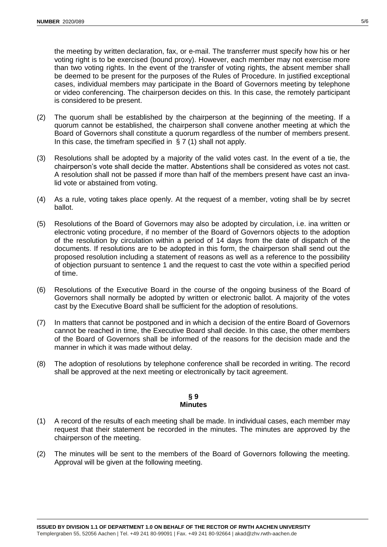the meeting by written declaration, fax, or e-mail. The transferrer must specify how his or her voting right is to be exercised (bound proxy). However, each member may not exercise more than two voting rights. In the event of the transfer of voting rights, the absent member shall be deemed to be present for the purposes of the Rules of Procedure. In justified exceptional cases, individual members may participate in the Board of Governors meeting by telephone or video conferencing. The chairperson decides on this. In this case, the remotely participant is considered to be present.

- (2) The quorum shall be established by the chairperson at the beginning of the meeting. If a quorum cannot be established, the chairperson shall convene another meeting at which the Board of Governors shall constitute a quorum regardless of the number of members present. In this case, the timefram specified in § 7 (1) shall not apply.
- (3) Resolutions shall be adopted by a majority of the valid votes cast. In the event of a tie, the chairperson's vote shall decide the matter. Abstentions shall be considered as votes not cast. A resolution shall not be passed if more than half of the members present have cast an invalid vote or abstained from voting.
- (4) As a rule, voting takes place openly. At the request of a member, voting shall be by secret ballot.
- (5) Resolutions of the Board of Governors may also be adopted by circulation, i.e. ina written or electronic voting procedure, if no member of the Board of Governors objects to the adoption of the resolution by circulation within a period of 14 days from the date of dispatch of the documents. If resolutions are to be adopted in this form, the chairperson shall send out the proposed resolution including a statement of reasons as well as a reference to the possibility of objection pursuant to sentence 1 and the request to cast the vote within a specified period of time.
- (6) Resolutions of the Executive Board in the course of the ongoing business of the Board of Governors shall normally be adopted by written or electronic ballot. A majority of the votes cast by the Executive Board shall be sufficient for the adoption of resolutions.
- (7) In matters that cannot be postponed and in which a decision of the entire Board of Governors cannot be reached in time, the Executive Board shall decide. In this case, the other members of the Board of Governors shall be informed of the reasons for the decision made and the manner in which it was made without delay.
- (8) The adoption of resolutions by telephone conference shall be recorded in writing. The record shall be approved at the next meeting or electronically by tacit agreement.

#### **§ 9 Minutes**

- (1) A record of the results of each meeting shall be made. In individual cases, each member may request that their statement be recorded in the minutes. The minutes are approved by the chairperson of the meeting.
- (2) The minutes will be sent to the members of the Board of Governors following the meeting. Approval will be given at the following meeting.